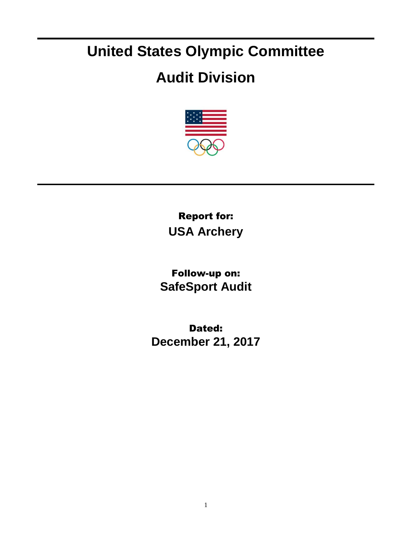## **United States Olympic Committee**

## **Audit Division**



Report for: **USA Archery**

Follow-up on: **SafeSport Audit**

Dated: **December 21, 2017**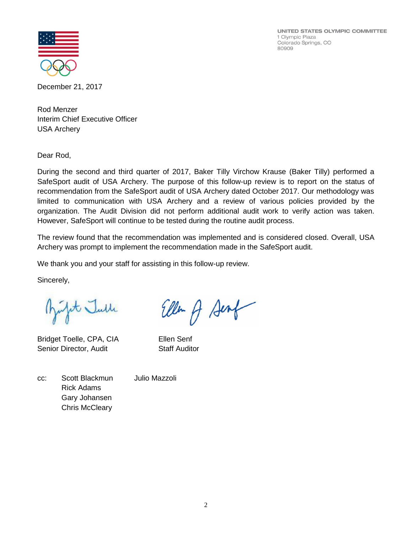UNITED STATES OLYMPIC COMMITTEE 1 Olympic Plaza Colorado Springs, CO 80909



December 21, 2017

Rod Menzer Interim Chief Executive Officer USA Archery

Dear Rod,

During the second and third quarter of 2017, Baker Tilly Virchow Krause (Baker Tilly) performed a SafeSport audit of USA Archery. The purpose of this follow-up review is to report on the status of recommendation from the SafeSport audit of USA Archery dated October 2017. Our methodology was limited to communication with USA Archery and a review of various policies provided by the organization. The Audit Division did not perform additional audit work to verify action was taken. However, SafeSport will continue to be tested during the routine audit process.

The review found that the recommendation was implemented and is considered closed. Overall, USA Archery was prompt to implement the recommendation made in the SafeSport audit.

We thank you and your staff for assisting in this follow-up review.

Sincerely,

Bufit Julle

Bridget Toelle, CPA, CIA Ellen Senf Senior Director, Audit Staff Auditor

Ellen A Sent

cc: Scott Blackmun Julio Mazzoli Rick Adams Gary Johansen Chris McCleary